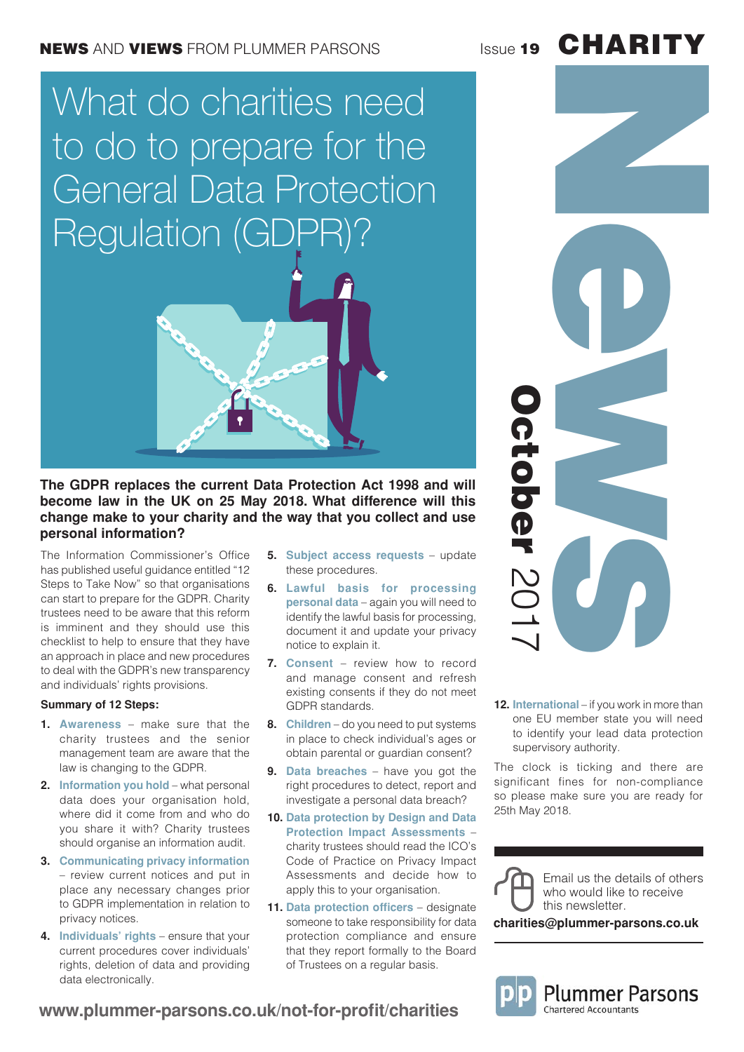### NEWS AND VIEWS FROM PLUMMER PARSONS ISSUE 19

# What do charities need to do to prepare for the General Data Protection Regulation (GDF



### **The GDPR replaces the current Data Protection Act 1998 and will become law in the UK on 25 May 2018. What difference will this change make to your charity and the way that you collect and use personal information?**

**www.plummer-parsons.co.uk/not-for-profit/charities**

The Information Commissioner's Office has published useful guidance entitled "12 Steps to Take Now" so that organisations can start to prepare for the GDPR. Charity trustees need to be aware that this reform is imminent and they should use this checklist to help to ensure that they have an approach in place and new procedures to deal with the GDPR's new transparency and individuals' rights provisions.

### **Summary of 12 Steps:**

- **1. Awareness** make sure that the charity trustees and the senior management team are aware that the law is changing to the GDPR.
- **2. Information you hold** what personal data does your organisation hold, where did it come from and who do you share it with? Charity trustees should organise an information audit.
- **3. Communicating privacy information** – review current notices and put in place any necessary changes prior to GDPR implementation in relation to privacy notices.
- **4. Individuals' rights** ensure that your current procedures cover individuals' rights, deletion of data and providing data electronically.
- **5. Subject access requests** update these procedures.
- **6. Lawful basis for processing personal data** – again you will need to identify the lawful basis for processing, document it and update your privacy notice to explain it.
- **7. Consent** review how to record and manage consent and refresh existing consents if they do not meet GDPR standards.
- **8. Children** do you need to put systems in place to check individual's ages or obtain parental or guardian consent?
- **9. Data breaches** have you got the right procedures to detect, report and investigate a personal data breach?
- **10. Data protection by Design and Data Protection Impact Assessments** – charity trustees should read the ICO's Code of Practice on Privacy Impact Assessments and decide how to apply this to your organisation.
- **11. Data protection officers** designate someone to take responsibility for data protection compliance and ensure that they report formally to the Board of Trustees on a regular basis.

**12. International** – if you work in more than one EU member state you will need to identify your lead data protection supervisory authority.

The clock is ticking and there are significant fines for non-compliance so please make sure you are ready for 25th May 2018.



October

**Detober** 

2017

this newsletter.

**charities@plummer-parsons.co.uk**